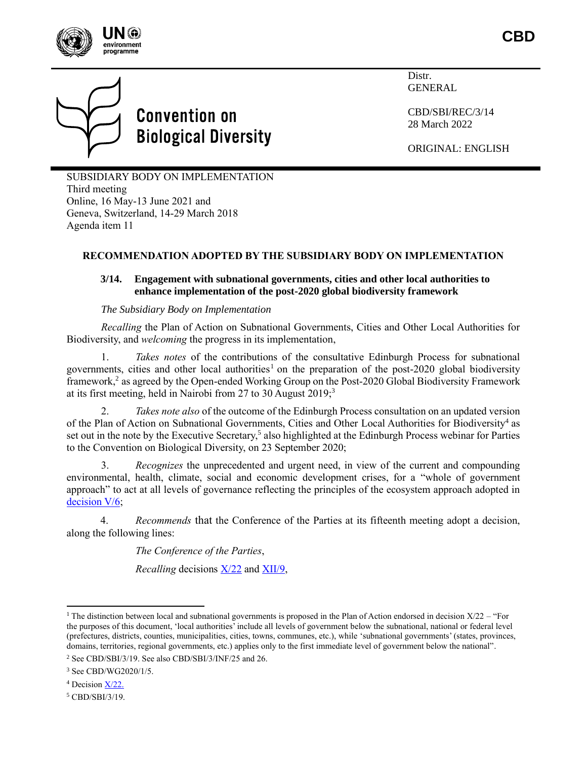



# **Convention on Biological Diversity**

Distr. GENERAL

CBD/SBI/REC/3/14 28 March 2022

ORIGINAL: ENGLISH

SUBSIDIARY BODY ON IMPLEMENTATION Third meeting Online, 16 May-13 June 2021 and Geneva, Switzerland, 14-29 March 2018 Agenda item 11

# **RECOMMENDATION ADOPTED BY THE SUBSIDIARY BODY ON IMPLEMENTATION**

# **3/14. Engagement with subnational governments, cities and other local authorities to enhance implementation of the post-2020 global biodiversity framework**

*The Subsidiary Body on Implementation*

*Recalling* the Plan of Action on Subnational Governments, Cities and Other Local Authorities for Biodiversity, and *welcoming* the progress in its implementation,

1. *Takes notes* of the contributions of the consultative Edinburgh Process for subnational governments, cities and other local authorities<sup>1</sup> on the preparation of the post-2020 global biodiversity framework,<sup>2</sup> as agreed by the Open-ended Working Group on the Post-2020 Global Biodiversity Framework at its first meeting, held in Nairobi from 27 to 30 August 2019;<sup>3</sup>

2. *Takes note also* of the outcome of the Edinburgh Process consultation on an updated version of the Plan of Action on Subnational Governments, Cities and Other Local Authorities for Biodiversity<sup>4</sup> as set out in the note by the Executive Secretary,<sup>5</sup> also highlighted at the Edinburgh Process webinar for Parties to the Convention on Biological Diversity, on 23 September 2020;

3. *Recognizes* the unprecedented and urgent need, in view of the current and compounding environmental, health, climate, social and economic development crises, for a "whole of government approach" to act at all levels of governance reflecting the principles of the ecosystem approach adopted in [decision](https://www.cbd.int/doc/meetings/esa/ecosys-01/other/ecosys-01-dec-cop-05-06-en.pdf) V/6;

4. *Recommends* that the Conference of the Parties at its fifteenth meeting adopt a decision, along the following lines:

*The Conference of the Parties*,

*Recalling* decisions  $X/22$  and [XII/9,](https://www.cbd.int/doc/decisions/cop-12/cop-12-dec-09-en.pdf)

<sup>5</sup> CBD/SBI/3/19.

<sup>&</sup>lt;sup>1</sup> The distinction between local and subnational governments is proposed in the Plan of Action endorsed in decision  $X/22$  – "For the purposes of this document, 'local authorities' include all levels of government below the subnational, national or federal level (prefectures, districts, counties, municipalities, cities, towns, communes, etc.), while 'subnational governments' (states, provinces, domains, territories, regional governments, etc.) applies only to the first immediate level of government below the national".

<sup>2</sup> See CBD/SBI/3/19. See also CBD/SBI/3/INF/25 and 26.

<sup>3</sup> See CBD/WG2020/1/5.

<sup>4</sup> Decision X/22.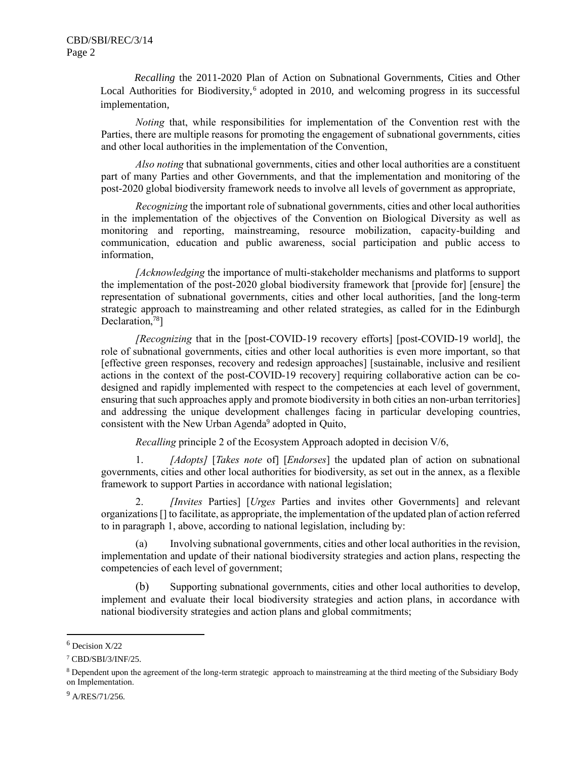*Recalling* the 2011-2020 Plan of Action on Subnational Governments, Cities and Other Local Authorities for Biodiversity,<sup>6</sup> adopted in 2010, and welcoming progress in its successful implementation*,*

*Noting* that, while responsibilities for implementation of the Convention rest with the Parties, there are multiple reasons for promoting the engagement of subnational governments, cities and other local authorities in the implementation of the Convention,

*Also noting* that subnational governments, cities and other local authorities are a constituent part of many Parties and other Governments, and that the implementation and monitoring of the post-2020 global biodiversity framework needs to involve all levels of government as appropriate,

*Recognizing* the important role of subnational governments, cities and other local authorities in the implementation of the objectives of the Convention on Biological Diversity as well as monitoring and reporting, mainstreaming, resource mobilization, capacity-building and communication, education and public awareness, social participation and public access to information,

*[Acknowledging* the importance of multi-stakeholder mechanisms and platforms to support the implementation of the post-2020 global biodiversity framework that [provide for] [ensure] the representation of subnational governments, cities and other local authorities, [and the long-term strategic approach to mainstreaming and other related strategies, as called for in the Edinburgh Declaration,<sup>78</sup>]

*[Recognizing* that in the [post-COVID-19 recovery efforts] [post-COVID-19 world], the role of subnational governments, cities and other local authorities is even more important, so that [effective green responses, recovery and redesign approaches] [sustainable, inclusive and resilient actions in the context of the post-COVID-19 recovery] requiring collaborative action can be codesigned and rapidly implemented with respect to the competencies at each level of government, ensuring that such approaches apply and promote biodiversity in both cities an non-urban territories] and addressing the unique development challenges facing in particular developing countries, consistent with the New Urban Agenda<sup>9</sup> adopted in Quito,

*Recalling* principle 2 of the Ecosystem Approach adopted in decision V/6,

1. *[Adopts]* [*Takes note* of] [*Endorses*] the updated plan of action on subnational governments, cities and other local authorities for biodiversity, as set out in the annex, as a flexible framework to support Parties in accordance with national legislation;

2. *[Invites* Parties] [*Urges* Parties and invites other Governments] and relevant organizations [] to facilitate, as appropriate, the implementation of the updated plan of action referred to in paragraph 1, above, according to national legislation, including by:

Involving subnational governments, cities and other local authorities in the revision, implementation and update of their national biodiversity strategies and action plans, respecting the competencies of each level of government;

(b) Supporting subnational governments, cities and other local authorities to develop, implement and evaluate their local biodiversity strategies and action plans, in accordance with national biodiversity strategies and action plans and global commitments;

 $9$  A/RES/71/256.

 $6$  Decision  $X/22$ 

<sup>7</sup> CBD/SBI/3/INF/25.

<sup>8</sup> Dependent upon the agreement of the long-term strategic approach to mainstreaming at the third meeting of the Subsidiary Body on Implementation.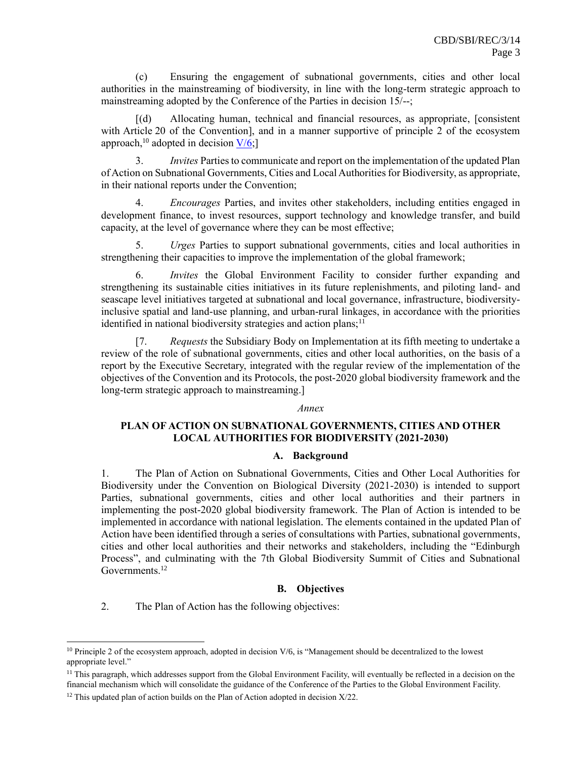(c) Ensuring the engagement of subnational governments, cities and other local authorities in the mainstreaming of biodiversity, in line with the long-term strategic approach to mainstreaming adopted by the Conference of the Parties in decision 15/--;

[(d) Allocating human, technical and financial resources, as appropriate, [consistent with Article 20 of the Convention], and in a manner supportive of principle 2 of the ecosystem approach,<sup>10</sup> adopted in [decision](https://www.cbd.int/decision/cop/?id=7148)  $V/6$ ;

3. *Invites* Parties to communicate and report on the implementation of the updated Plan of Action on Subnational Governments, Cities and Local Authorities for Biodiversity, as appropriate, in their national reports under the Convention;

4. *Encourages* Parties, and invites other stakeholders, including entities engaged in development finance, to invest resources, support technology and knowledge transfer, and build capacity, at the level of governance where they can be most effective;

5. *Urges* Parties to support subnational governments, cities and local authorities in strengthening their capacities to improve the implementation of the global framework;

6. *Invites* the Global Environment Facility to consider further expanding and strengthening its sustainable cities initiatives in its future replenishments, and piloting land- and seascape level initiatives targeted at subnational and local governance, infrastructure, biodiversityinclusive spatial and land-use planning, and urban-rural linkages, in accordance with the priorities identified in national biodiversity strategies and action plans;<sup>11</sup>

[7. *Requests* the Subsidiary Body on Implementation at its fifth meeting to undertake a review of the role of subnational governments, cities and other local authorities, on the basis of a report by the Executive Secretary, integrated with the regular review of the implementation of the objectives of the Convention and its Protocols, the post-2020 global biodiversity framework and the long-term strategic approach to mainstreaming.]

#### *Annex*

# **PLAN OF ACTION ON SUBNATIONAL GOVERNMENTS, CITIES AND OTHER LOCAL AUTHORITIES FOR BIODIVERSITY (2021-2030)**

#### **A. Background**

1. The Plan of Action on Subnational Governments, Cities and Other Local Authorities for Biodiversity under the Convention on Biological Diversity (2021-2030) is intended to support Parties, subnational governments, cities and other local authorities and their partners in implementing the post-2020 global biodiversity framework. The Plan of Action is intended to be implemented in accordance with national legislation. The elements contained in the updated Plan of Action have been identified through a series of consultations with Parties, subnational governments, cities and other local authorities and their networks and stakeholders, including the "Edinburgh Process", and culminating with the 7th Global Biodiversity Summit of Cities and Subnational Governments.<sup>12</sup>

#### **B. Objectives**

2. The Plan of Action has the following objectives:

 $10$  Principle 2 of the ecosystem approach, adopted in decision  $V/6$ , is "Management should be decentralized to the lowest appropriate level."

<sup>&</sup>lt;sup>11</sup> This paragraph, which addresses support from the Global Environment Facility, will eventually be reflected in a decision on the financial mechanism which will consolidate the guidance of the Conference of the Parties to the Global Environment Facility.

 $12$  This updated plan of action builds on the Plan of Action adopted in decision  $X/22$ .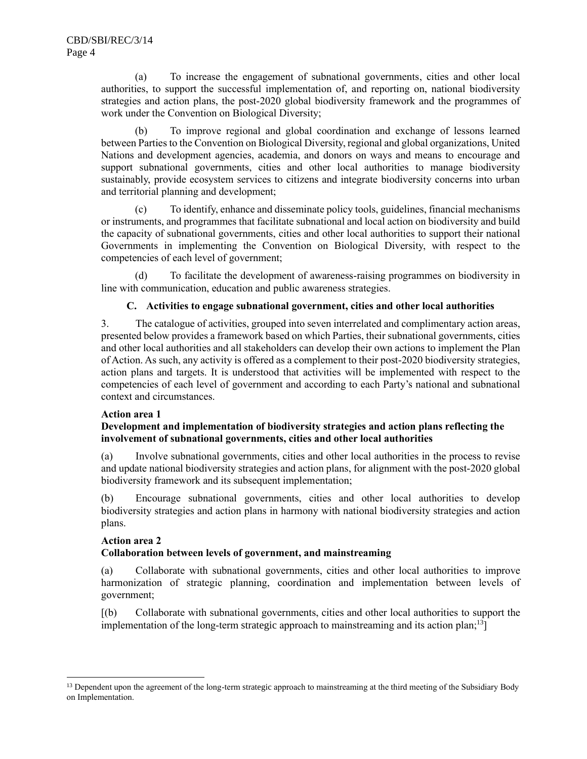(a) To increase the engagement of subnational governments, cities and other local authorities, to support the successful implementation of, and reporting on, national biodiversity strategies and action plans, the post-2020 global biodiversity framework and the programmes of work under the Convention on Biological Diversity;

(b) To improve regional and global coordination and exchange of lessons learned between Parties to the Convention on Biological Diversity, regional and global organizations, United Nations and development agencies, academia, and donors on ways and means to encourage and support subnational governments, cities and other local authorities to manage biodiversity sustainably, provide ecosystem services to citizens and integrate biodiversity concerns into urban and territorial planning and development;

(c) To identify, enhance and disseminate policy tools, guidelines, financial mechanisms or instruments, and programmes that facilitate subnational and local action on biodiversity and build the capacity of subnational governments, cities and other local authorities to support their national Governments in implementing the Convention on Biological Diversity, with respect to the competencies of each level of government;

(d) To facilitate the development of awareness-raising programmes on biodiversity in line with communication, education and public awareness strategies.

# **C. Activities to engage subnational government, cities and other local authorities**

3. The catalogue of activities, grouped into seven interrelated and complimentary action areas, presented below provides a framework based on which Parties, their subnational governments, cities and other local authorities and all stakeholders can develop their own actions to implement the Plan of Action. As such, any activity is offered as a complement to their post-2020 biodiversity strategies, action plans and targets. It is understood that activities will be implemented with respect to the competencies of each level of government and according to each Party's national and subnational context and circumstances.

#### **Action area 1**

#### **Development and implementation of biodiversity strategies and action plans reflecting the involvement of subnational governments, cities and other local authorities**

(a) Involve subnational governments, cities and other local authorities in the process to revise and update national biodiversity strategies and action plans, for alignment with the post-2020 global biodiversity framework and its subsequent implementation;

(b) Encourage subnational governments, cities and other local authorities to develop biodiversity strategies and action plans in harmony with national biodiversity strategies and action plans.

#### **Action area 2**

#### **Collaboration between levels of government, and mainstreaming**

(a) Collaborate with subnational governments, cities and other local authorities to improve harmonization of strategic planning, coordination and implementation between levels of government;

[(b) Collaborate with subnational governments, cities and other local authorities to support the implementation of the long-term strategic approach to mainstreaming and its action plan;<sup>13</sup>]

<sup>&</sup>lt;sup>13</sup> Dependent upon the agreement of the long-term strategic approach to mainstreaming at the third meeting of the Subsidiary Body on Implementation.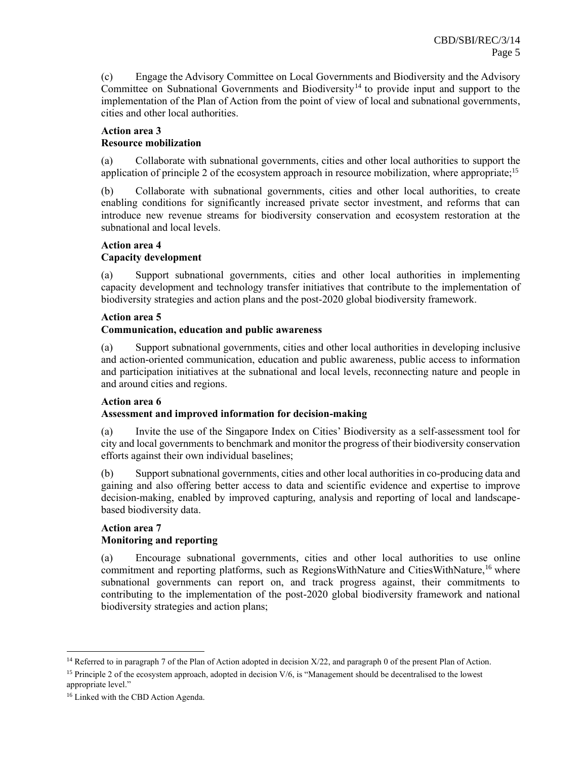(c) Engage the Advisory Committee on Local Governments and Biodiversity and the Advisory Committee on Subnational Governments and Biodiversity<sup>14</sup> to provide input and support to the implementation of the Plan of Action from the point of view of local and subnational governments, cities and other local authorities.

# **Action area 3 Resource mobilization**

(a) Collaborate with subnational governments, cities and other local authorities to support the application of principle 2 of the ecosystem approach in resource mobilization, where appropriate;<sup>15</sup>

(b) Collaborate with subnational governments, cities and other local authorities, to create enabling conditions for significantly increased private sector investment, and reforms that can introduce new revenue streams for biodiversity conservation and ecosystem restoration at the subnational and local levels.

#### **Action area 4 Capacity development**

(a) Support subnational governments, cities and other local authorities in implementing capacity development and technology transfer initiatives that contribute to the implementation of biodiversity strategies and action plans and the post-2020 global biodiversity framework.

# **Action area 5**

# **Communication, education and public awareness**

(a) Support subnational governments, cities and other local authorities in developing inclusive and action-oriented communication, education and public awareness, public access to information and participation initiatives at the subnational and local levels, reconnecting nature and people in and around cities and regions.

# **Action area 6**

# **Assessment and improved information for decision-making**

(a) Invite the use of the Singapore Index on Cities' Biodiversity as a self-assessment tool for city and local governments to benchmark and monitor the progress of their biodiversity conservation efforts against their own individual baselines;

(b) Support subnational governments, cities and other local authorities in co-producing data and gaining and also offering better access to data and scientific evidence and expertise to improve decision-making, enabled by improved capturing, analysis and reporting of local and landscapebased biodiversity data.

# **Action area 7 Monitoring and reporting**

(a) Encourage subnational governments, cities and other local authorities to use online commitment and reporting platforms, such as RegionsWithNature and CitiesWithNature,<sup>16</sup> where subnational governments can report on, and track progress against, their commitments to contributing to the implementation of the post-2020 global biodiversity framework and national biodiversity strategies and action plans;

<sup>&</sup>lt;sup>14</sup> Referred to in paragraph 7 of the Plan of Action adopted in decision X/22, and paragrap[h 0](#page-5-0) of the present Plan of Action.

<sup>&</sup>lt;sup>15</sup> Principle 2 of the ecosystem approach, adopted in decision V/6, is "Management should be decentralised to the lowest appropriate level."

<sup>16</sup> Linked with the CBD Action Agenda.